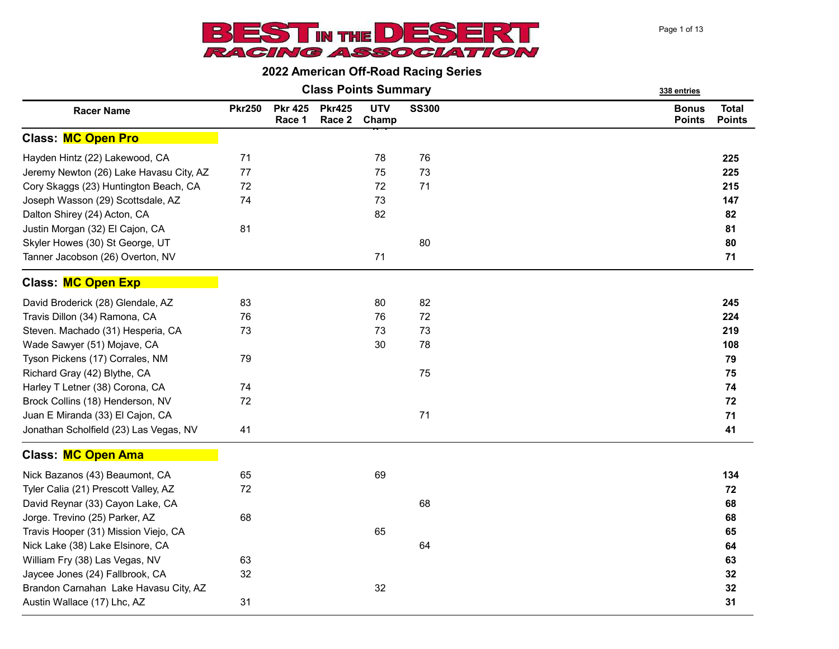

|  |  | <b>Class Points Summary</b> |  |
|--|--|-----------------------------|--|
|--|--|-----------------------------|--|

| <b>Racer Name</b>                       | <b>Pkr250</b> | <b>Pkr 425</b><br>Race 1 | <b>Pkr425</b><br>Race 2 | <b>UTV</b><br>Champ | <b>SS300</b> | <b>Bonus</b><br><b>Points</b> | <b>Total</b><br><b>Points</b> |
|-----------------------------------------|---------------|--------------------------|-------------------------|---------------------|--------------|-------------------------------|-------------------------------|
| <b>Class: MC Open Pro</b>               |               |                          |                         |                     |              |                               |                               |
| Hayden Hintz (22) Lakewood, CA          | 71            |                          |                         | 78                  | 76           |                               | 225                           |
| Jeremy Newton (26) Lake Havasu City, AZ | 77            |                          |                         | 75                  | 73           |                               | 225                           |
| Cory Skaggs (23) Huntington Beach, CA   | 72            |                          |                         | 72                  | 71           |                               | 215                           |
| Joseph Wasson (29) Scottsdale, AZ       | 74            |                          |                         | 73                  |              |                               | 147                           |
| Dalton Shirey (24) Acton, CA            |               |                          |                         | 82                  |              |                               | 82                            |
| Justin Morgan (32) El Cajon, CA         | 81            |                          |                         |                     |              |                               | 81                            |
| Skyler Howes (30) St George, UT         |               |                          |                         |                     | 80           |                               | 80                            |
| Tanner Jacobson (26) Overton, NV        |               |                          |                         | 71                  |              |                               | 71                            |
| <b>Class: MC Open Exp</b>               |               |                          |                         |                     |              |                               |                               |
| David Broderick (28) Glendale, AZ       | 83            |                          |                         | 80                  | 82           |                               | 245                           |
| Travis Dillon (34) Ramona, CA           | 76            |                          |                         | 76                  | 72           |                               | 224                           |
| Steven. Machado (31) Hesperia, CA       | 73            |                          |                         | 73                  | 73           |                               | 219                           |
| Wade Sawyer (51) Mojave, CA             |               |                          |                         | 30                  | 78           |                               | 108                           |
| Tyson Pickens (17) Corrales, NM         | 79            |                          |                         |                     |              |                               | 79                            |
| Richard Gray (42) Blythe, CA            |               |                          |                         |                     | 75           |                               | 75                            |
| Harley T Letner (38) Corona, CA         | 74            |                          |                         |                     |              |                               | 74                            |
| Brock Collins (18) Henderson, NV        | 72            |                          |                         |                     |              |                               | 72                            |
| Juan E Miranda (33) El Cajon, CA        |               |                          |                         |                     | 71           |                               | 71                            |
| Jonathan Scholfield (23) Las Vegas, NV  | 41            |                          |                         |                     |              |                               | 41                            |
| Class: MC Open Ama                      |               |                          |                         |                     |              |                               |                               |
| Nick Bazanos (43) Beaumont, CA          | 65            |                          |                         | 69                  |              |                               | 134                           |
| Tyler Calia (21) Prescott Valley, AZ    | 72            |                          |                         |                     |              |                               | 72                            |
| David Reynar (33) Cayon Lake, CA        |               |                          |                         |                     | 68           |                               | 68                            |
| Jorge. Trevino (25) Parker, AZ          | 68            |                          |                         |                     |              |                               | 68                            |
| Travis Hooper (31) Mission Viejo, CA    |               |                          |                         | 65                  |              |                               | 65                            |
| Nick Lake (38) Lake Elsinore, CA        |               |                          |                         |                     | 64           |                               | 64                            |
| William Fry (38) Las Vegas, NV          | 63            |                          |                         |                     |              |                               | 63                            |
| Jaycee Jones (24) Fallbrook, CA         | 32            |                          |                         |                     |              |                               | 32                            |
| Brandon Carnahan Lake Havasu City, AZ   |               |                          |                         | 32                  |              |                               | 32                            |
| Austin Wallace (17) Lhc, AZ             | 31            |                          |                         |                     |              |                               | 31                            |

338 entries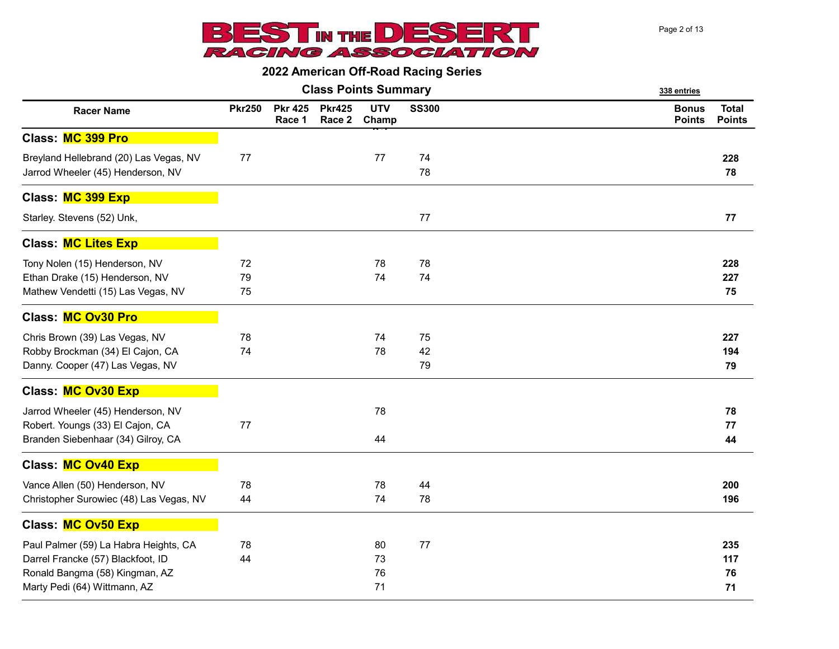

|                                                                                                                                              |                |                          |                         | <b>Class Points Summary</b> |                | 338 entries                                                    |  |  |
|----------------------------------------------------------------------------------------------------------------------------------------------|----------------|--------------------------|-------------------------|-----------------------------|----------------|----------------------------------------------------------------|--|--|
| <b>Racer Name</b>                                                                                                                            | <b>Pkr250</b>  | <b>Pkr 425</b><br>Race 1 | <b>Pkr425</b><br>Race 2 | <b>UTV</b><br>Champ         | <b>SS300</b>   | <b>Total</b><br><b>Bonus</b><br><b>Points</b><br><b>Points</b> |  |  |
| Class: MC 399 Pro                                                                                                                            |                |                          |                         |                             |                |                                                                |  |  |
| Breyland Hellebrand (20) Las Vegas, NV<br>Jarrod Wheeler (45) Henderson, NV                                                                  | 77             |                          |                         | 77                          | 74<br>78       | 228<br>78                                                      |  |  |
| Class: MC 399 Exp                                                                                                                            |                |                          |                         |                             |                |                                                                |  |  |
| Starley. Stevens (52) Unk,                                                                                                                   |                |                          |                         |                             | 77             | 77                                                             |  |  |
| <b>Class: MC Lites Exp</b>                                                                                                                   |                |                          |                         |                             |                |                                                                |  |  |
| Tony Nolen (15) Henderson, NV<br>Ethan Drake (15) Henderson, NV<br>Mathew Vendetti (15) Las Vegas, NV                                        | 72<br>79<br>75 |                          |                         | 78<br>74                    | 78<br>74       | 228<br>227<br>75                                               |  |  |
| <b>Class: MC Ov30 Pro</b>                                                                                                                    |                |                          |                         |                             |                |                                                                |  |  |
| Chris Brown (39) Las Vegas, NV<br>Robby Brockman (34) El Cajon, CA<br>Danny. Cooper (47) Las Vegas, NV                                       | 78<br>74       |                          |                         | 74<br>78                    | 75<br>42<br>79 | 227<br>194<br>79                                               |  |  |
| Class: MC Ov30 Exp                                                                                                                           |                |                          |                         |                             |                |                                                                |  |  |
| Jarrod Wheeler (45) Henderson, NV<br>Robert. Youngs (33) El Cajon, CA<br>Branden Siebenhaar (34) Gilroy, CA                                  | 77             |                          |                         | 78<br>44                    |                | 78<br>77<br>44                                                 |  |  |
| Class: MC Ov40 Exp                                                                                                                           |                |                          |                         |                             |                |                                                                |  |  |
| Vance Allen (50) Henderson, NV<br>Christopher Surowiec (48) Las Vegas, NV                                                                    | 78<br>44       |                          |                         | 78<br>74                    | 44<br>78       | 200<br>196                                                     |  |  |
| Class: MC Ov50 Exp                                                                                                                           |                |                          |                         |                             |                |                                                                |  |  |
| Paul Palmer (59) La Habra Heights, CA<br>Darrel Francke (57) Blackfoot, ID<br>Ronald Bangma (58) Kingman, AZ<br>Marty Pedi (64) Wittmann, AZ | 78<br>44       |                          |                         | 80<br>73<br>76<br>71        | 77             | 235<br>117<br>76<br>71                                         |  |  |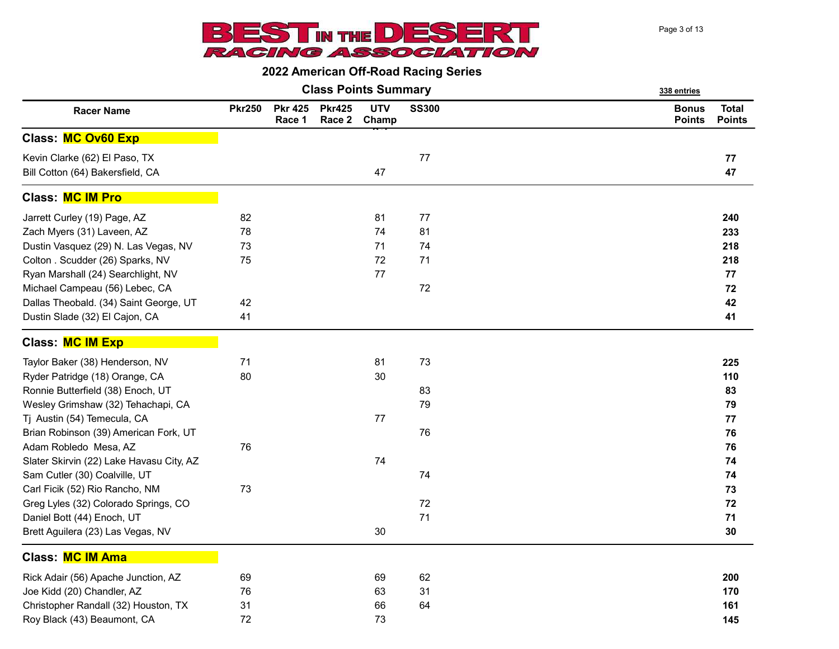

|                                                                   |               |                          |                         | <b>Class Points Summary</b> |              | 338 entries                   |                               |  |
|-------------------------------------------------------------------|---------------|--------------------------|-------------------------|-----------------------------|--------------|-------------------------------|-------------------------------|--|
| <b>Racer Name</b>                                                 | <b>Pkr250</b> | <b>Pkr 425</b><br>Race 1 | <b>Pkr425</b><br>Race 2 | <b>UTV</b><br>Champ         | <b>SS300</b> | <b>Bonus</b><br><b>Points</b> | <b>Total</b><br><b>Points</b> |  |
| Class: MC Ov60 Exp                                                |               |                          |                         |                             |              |                               |                               |  |
| Kevin Clarke (62) El Paso, TX<br>Bill Cotton (64) Bakersfield, CA |               |                          |                         | 47                          | 77           |                               | 77<br>47                      |  |
| <b>Class: MC IM Pro</b>                                           |               |                          |                         |                             |              |                               |                               |  |
| Jarrett Curley (19) Page, AZ                                      | 82            |                          |                         | 81                          | 77           |                               | 240                           |  |
| Zach Myers (31) Laveen, AZ                                        | 78            |                          |                         | 74                          | 81           |                               | 233                           |  |
| Dustin Vasquez (29) N. Las Vegas, NV                              | 73            |                          |                         | 71                          | 74           |                               | 218                           |  |
| Colton . Scudder (26) Sparks, NV                                  | 75            |                          |                         | 72                          | 71           |                               | 218                           |  |
| Ryan Marshall (24) Searchlight, NV                                |               |                          |                         | 77                          |              |                               | 77                            |  |
| Michael Campeau (56) Lebec, CA                                    |               |                          |                         |                             | 72           |                               | 72                            |  |
| Dallas Theobald. (34) Saint George, UT                            | 42            |                          |                         |                             |              |                               | 42                            |  |
| Dustin Slade (32) El Cajon, CA                                    | 41            |                          |                         |                             |              |                               | 41                            |  |
| <b>Class: MC IM Exp</b>                                           |               |                          |                         |                             |              |                               |                               |  |
| Taylor Baker (38) Henderson, NV                                   | 71            |                          |                         | 81                          | 73           |                               | 225                           |  |
| Ryder Patridge (18) Orange, CA                                    | 80            |                          |                         | 30                          |              |                               | 110                           |  |
| Ronnie Butterfield (38) Enoch, UT                                 |               |                          |                         |                             | 83           |                               | 83                            |  |
| Wesley Grimshaw (32) Tehachapi, CA                                |               |                          |                         |                             | 79           |                               | 79                            |  |
| Tj Austin (54) Temecula, CA                                       |               |                          |                         | 77                          |              |                               | 77                            |  |
| Brian Robinson (39) American Fork, UT                             |               |                          |                         |                             | 76           |                               | 76                            |  |
| Adam Robledo Mesa, AZ                                             | 76            |                          |                         |                             |              |                               | 76                            |  |
| Slater Skirvin (22) Lake Havasu City, AZ                          |               |                          |                         | 74                          |              |                               | 74                            |  |
| Sam Cutler (30) Coalville, UT                                     |               |                          |                         |                             | 74           |                               | 74                            |  |
| Carl Ficik (52) Rio Rancho, NM                                    | 73            |                          |                         |                             |              |                               | 73                            |  |
| Greg Lyles (32) Colorado Springs, CO                              |               |                          |                         |                             | 72           |                               | 72                            |  |
| Daniel Bott (44) Enoch, UT                                        |               |                          |                         |                             | 71           |                               | 71                            |  |
| Brett Aguilera (23) Las Vegas, NV                                 |               |                          |                         | 30                          |              |                               | 30                            |  |
| <b>Class: MC IM Ama</b>                                           |               |                          |                         |                             |              |                               |                               |  |
| Rick Adair (56) Apache Junction, AZ                               | 69            |                          |                         | 69                          | 62           |                               | 200                           |  |
| Joe Kidd (20) Chandler, AZ                                        | 76            |                          |                         | 63                          | 31           |                               | 170                           |  |
| Christopher Randall (32) Houston, TX                              | 31            |                          |                         | 66                          | 64           |                               | 161                           |  |
| Roy Black (43) Beaumont, CA                                       | 72            |                          |                         | 73                          |              |                               | 145                           |  |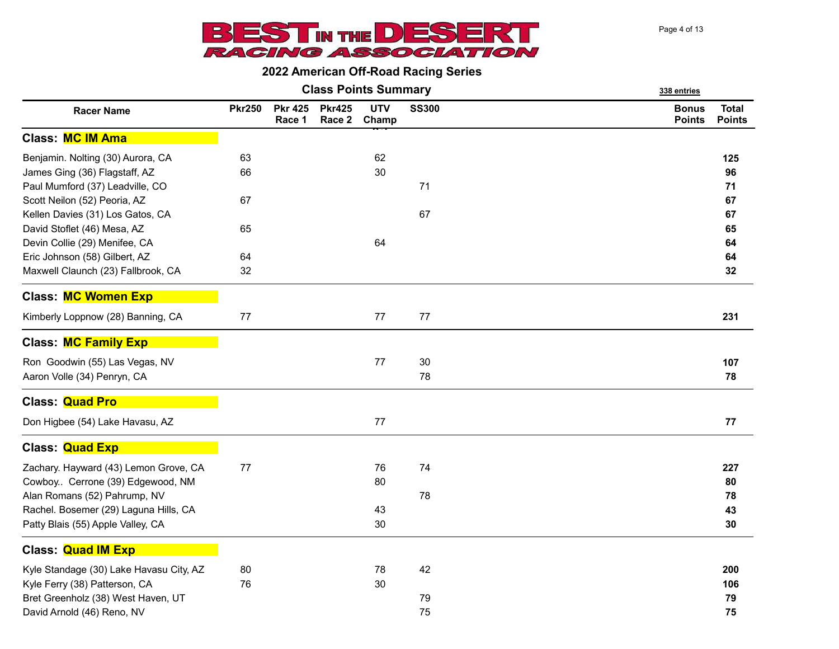

|                                                                  |               |                          |                         | <b>Class Points Summary</b> |       | 338 entries                                                    |  |  |
|------------------------------------------------------------------|---------------|--------------------------|-------------------------|-----------------------------|-------|----------------------------------------------------------------|--|--|
| <b>Racer Name</b>                                                | <b>Pkr250</b> | <b>Pkr 425</b><br>Race 1 | <b>Pkr425</b><br>Race 2 | <b>UTV</b><br>Champ         | SS300 | <b>Total</b><br><b>Bonus</b><br><b>Points</b><br><b>Points</b> |  |  |
| <b>Class: MC IM Ama</b>                                          |               |                          |                         |                             |       |                                                                |  |  |
| Benjamin. Nolting (30) Aurora, CA                                | 63            |                          |                         | 62                          |       | 125                                                            |  |  |
| James Ging (36) Flagstaff, AZ<br>Paul Mumford (37) Leadville, CO | 66            |                          |                         | 30                          | 71    | 96<br>71                                                       |  |  |
| Scott Neilon (52) Peoria, AZ                                     | 67            |                          |                         |                             |       | 67                                                             |  |  |
| Kellen Davies (31) Los Gatos, CA                                 |               |                          |                         |                             | 67    | 67                                                             |  |  |
| David Stoflet (46) Mesa, AZ                                      | 65            |                          |                         |                             |       | 65                                                             |  |  |
| Devin Collie (29) Menifee, CA                                    |               |                          |                         | 64                          |       | 64                                                             |  |  |
| Eric Johnson (58) Gilbert, AZ                                    | 64            |                          |                         |                             |       | 64                                                             |  |  |
| Maxwell Claunch (23) Fallbrook, CA                               | 32            |                          |                         |                             |       | 32                                                             |  |  |
| <b>Class: MC Women Exp</b>                                       |               |                          |                         |                             |       |                                                                |  |  |
| Kimberly Loppnow (28) Banning, CA                                | 77            |                          |                         | 77                          | 77    | 231                                                            |  |  |
| <b>Class: MC Family Exp</b>                                      |               |                          |                         |                             |       |                                                                |  |  |
| Ron Goodwin (55) Las Vegas, NV                                   |               |                          |                         | 77                          | 30    | 107                                                            |  |  |
| Aaron Volle (34) Penryn, CA                                      |               |                          |                         |                             | 78    | 78                                                             |  |  |
| <b>Class: Quad Pro</b>                                           |               |                          |                         |                             |       |                                                                |  |  |
| Don Higbee (54) Lake Havasu, AZ                                  |               |                          |                         | 77                          |       | ${\bf 77}$                                                     |  |  |
| Class: <b>Quad Exp</b>                                           |               |                          |                         |                             |       |                                                                |  |  |
| Zachary. Hayward (43) Lemon Grove, CA                            | 77            |                          |                         | 76                          | 74    | 227                                                            |  |  |
| Cowboy Cerrone (39) Edgewood, NM                                 |               |                          |                         | 80                          |       | 80                                                             |  |  |
| Alan Romans (52) Pahrump, NV                                     |               |                          |                         |                             | 78    | 78                                                             |  |  |
| Rachel. Bosemer (29) Laguna Hills, CA                            |               |                          |                         | 43                          |       | 43                                                             |  |  |
| Patty Blais (55) Apple Valley, CA                                |               |                          |                         | 30                          |       | 30                                                             |  |  |
| <b>Class: Quad IM Exp</b>                                        |               |                          |                         |                             |       |                                                                |  |  |
| Kyle Standage (30) Lake Havasu City, AZ                          | 80            |                          |                         | 78                          | 42    | 200                                                            |  |  |
| Kyle Ferry (38) Patterson, CA                                    | 76            |                          |                         | 30                          |       | 106                                                            |  |  |
| Bret Greenholz (38) West Haven, UT                               |               |                          |                         |                             | 79    | 79                                                             |  |  |
| David Arnold (46) Reno, NV                                       |               |                          |                         |                             | 75    | 75                                                             |  |  |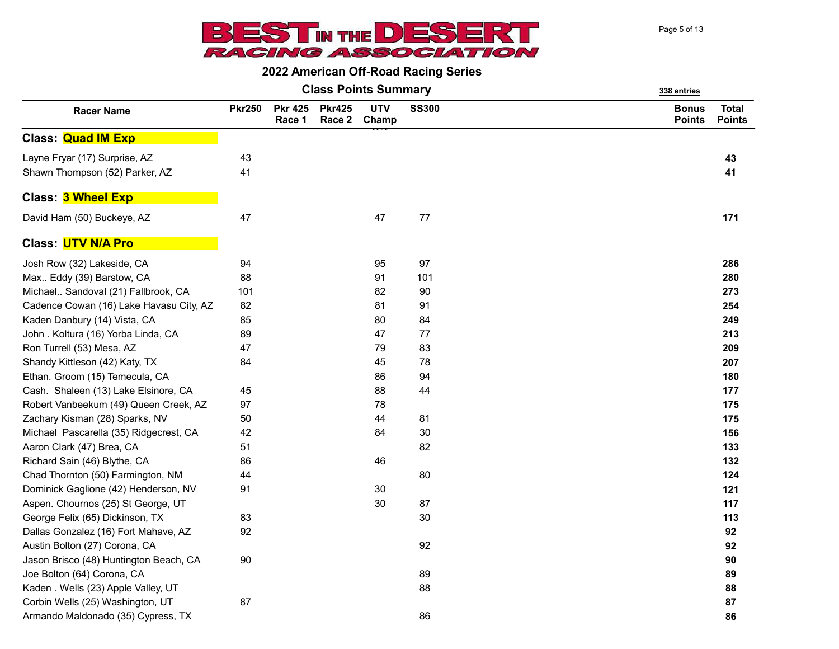

|                                         |               |                          |                         | <b>Class Points Summary</b> |              | 338 entries                   |                               |  |
|-----------------------------------------|---------------|--------------------------|-------------------------|-----------------------------|--------------|-------------------------------|-------------------------------|--|
| <b>Racer Name</b>                       | <b>Pkr250</b> | <b>Pkr 425</b><br>Race 1 | <b>Pkr425</b><br>Race 2 | <b>UTV</b><br>Champ         | <b>SS300</b> | <b>Bonus</b><br><b>Points</b> | <b>Total</b><br><b>Points</b> |  |
| <b>Class: Quad IM Exp</b>               |               |                          |                         |                             |              |                               |                               |  |
| Layne Fryar (17) Surprise, AZ           | 43            |                          |                         |                             |              |                               | 43                            |  |
| Shawn Thompson (52) Parker, AZ          | 41            |                          |                         |                             |              |                               | 41                            |  |
| <b>Class: 3 Wheel Exp</b>               |               |                          |                         |                             |              |                               |                               |  |
| David Ham (50) Buckeye, AZ              | 47            |                          |                         | 47                          | $77 \,$      |                               | 171                           |  |
| <b>Class: UTV N/A Pro</b>               |               |                          |                         |                             |              |                               |                               |  |
| Josh Row (32) Lakeside, CA              | 94            |                          |                         | 95                          | 97           |                               | 286                           |  |
| Max Eddy (39) Barstow, CA               | 88            |                          |                         | 91                          | 101          |                               | 280                           |  |
| Michael Sandoval (21) Fallbrook, CA     | 101           |                          |                         | 82                          | 90           |                               | 273                           |  |
| Cadence Cowan (16) Lake Havasu City, AZ | 82            |                          |                         | 81                          | 91           |                               | 254                           |  |
| Kaden Danbury (14) Vista, CA            | 85            |                          |                         | 80                          | 84           |                               | 249                           |  |
| John . Koltura (16) Yorba Linda, CA     | 89            |                          |                         | 47                          | 77           |                               | 213                           |  |
| Ron Turrell (53) Mesa, AZ               | 47            |                          |                         | 79                          | 83           |                               | 209                           |  |
| Shandy Kittleson (42) Katy, TX          | 84            |                          |                         | 45                          | 78           |                               | 207                           |  |
| Ethan. Groom (15) Temecula, CA          |               |                          |                         | 86                          | 94           |                               | 180                           |  |
| Cash. Shaleen (13) Lake Elsinore, CA    | 45            |                          |                         | 88                          | 44           |                               | 177                           |  |
| Robert Vanbeekum (49) Queen Creek, AZ   | 97            |                          |                         | 78                          |              |                               | 175                           |  |
| Zachary Kisman (28) Sparks, NV          | 50            |                          |                         | 44                          | 81           |                               | 175                           |  |
| Michael Pascarella (35) Ridgecrest, CA  | 42            |                          |                         | 84                          | 30           |                               | 156                           |  |
| Aaron Clark (47) Brea, CA               | 51            |                          |                         |                             | 82           |                               | 133                           |  |
| Richard Sain (46) Blythe, CA            | 86            |                          |                         | 46                          |              |                               | 132                           |  |
| Chad Thornton (50) Farmington, NM       | 44            |                          |                         |                             | 80           |                               | 124                           |  |
| Dominick Gaglione (42) Henderson, NV    | 91            |                          |                         | 30                          |              |                               | 121                           |  |
| Aspen. Chournos (25) St George, UT      |               |                          |                         | 30                          | 87           |                               | 117                           |  |
| George Felix (65) Dickinson, TX         | 83            |                          |                         |                             | 30           |                               | 113                           |  |
| Dallas Gonzalez (16) Fort Mahave, AZ    | 92            |                          |                         |                             |              |                               | 92                            |  |
| Austin Bolton (27) Corona, CA           |               |                          |                         |                             | 92           |                               | 92                            |  |
| Jason Brisco (48) Huntington Beach, CA  | 90            |                          |                         |                             |              |                               | 90                            |  |
| Joe Bolton (64) Corona, CA              |               |                          |                         |                             | 89           |                               | 89                            |  |
| Kaden . Wells (23) Apple Valley, UT     |               |                          |                         |                             | 88           |                               | 88                            |  |
| Corbin Wells (25) Washington, UT        | 87            |                          |                         |                             |              |                               | 87                            |  |
| Armando Maldonado (35) Cypress, TX      |               |                          |                         |                             | 86           |                               | 86                            |  |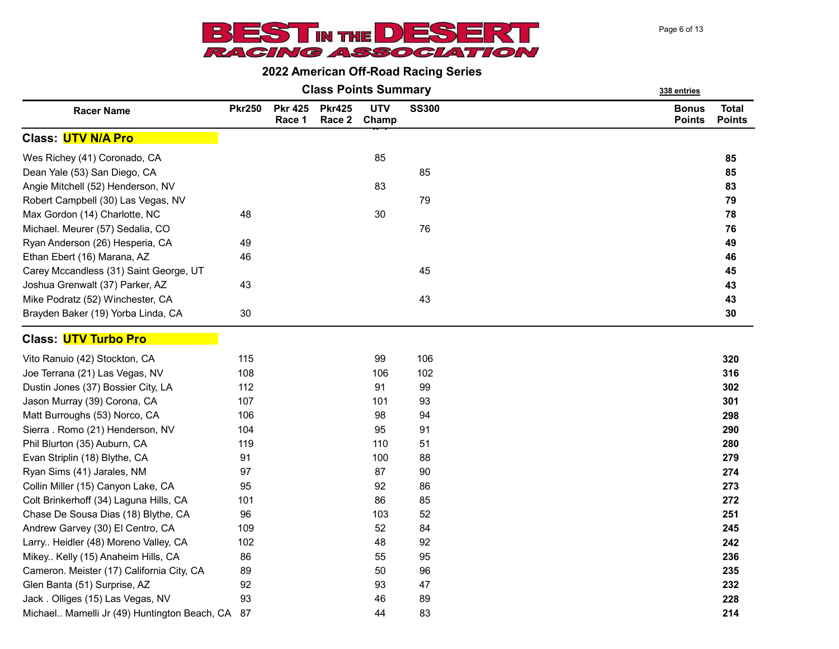

| <b>Class Points Summary</b> | 338 entries |
|-----------------------------|-------------|
|-----------------------------|-------------|

| <b>Racer Name</b>                               | <b>Pkr250</b> | <b>Pkr 425</b><br>Race 1 | <b>Pkr425</b><br>Race 2 | <b>UTV</b><br>Champ | <b>SS300</b> | <b>Bonus</b><br><b>Points</b> | <b>Total</b><br><b>Points</b> |
|-------------------------------------------------|---------------|--------------------------|-------------------------|---------------------|--------------|-------------------------------|-------------------------------|
| Class: <mark>UTV N/A Pro</mark>                 |               |                          |                         |                     |              |                               |                               |
| Wes Richey (41) Coronado, CA                    |               |                          |                         | 85                  |              |                               | 85                            |
| Dean Yale (53) San Diego, CA                    |               |                          |                         |                     | 85           |                               | 85                            |
| Angie Mitchell (52) Henderson, NV               |               |                          |                         | 83                  |              |                               | 83                            |
| Robert Campbell (30) Las Vegas, NV              |               |                          |                         |                     | 79           |                               | 79                            |
| Max Gordon (14) Charlotte, NC                   | 48            |                          |                         | 30                  |              |                               | 78                            |
| Michael. Meurer (57) Sedalia, CO                |               |                          |                         |                     | 76           |                               | 76                            |
| Ryan Anderson (26) Hesperia, CA                 | 49            |                          |                         |                     |              |                               | 49                            |
| Ethan Ebert (16) Marana, AZ                     | 46            |                          |                         |                     |              |                               | 46                            |
| Carey Mccandless (31) Saint George, UT          |               |                          |                         |                     | 45           |                               | 45                            |
| Joshua Grenwalt (37) Parker, AZ                 | 43            |                          |                         |                     |              |                               | 43                            |
| Mike Podratz (52) Winchester, CA                |               |                          |                         |                     | 43           |                               | 43                            |
| Brayden Baker (19) Yorba Linda, CA              | 30            |                          |                         |                     |              |                               | 30                            |
| Class: <mark>UTV Turbo Pro</mark>               |               |                          |                         |                     |              |                               |                               |
| Vito Ranuio (42) Stockton, CA                   | 115           |                          |                         | 99                  | 106          |                               | 320                           |
| Joe Terrana (21) Las Vegas, NV                  | 108           |                          |                         | 106                 | 102          |                               | 316                           |
| Dustin Jones (37) Bossier City, LA              | 112           |                          |                         | 91                  | 99           |                               | 302                           |
| Jason Murray (39) Corona, CA                    | 107           |                          |                         | 101                 | 93           |                               | 301                           |
| Matt Burroughs (53) Norco, CA                   | 106           |                          |                         | 98                  | 94           |                               | 298                           |
| Sierra. Romo (21) Henderson, NV                 | 104           |                          |                         | 95                  | 91           |                               | 290                           |
| Phil Blurton (35) Auburn, CA                    | 119           |                          |                         | 110                 | 51           |                               | 280                           |
| Evan Striplin (18) Blythe, CA                   | 91            |                          |                         | 100                 | 88           |                               | 279                           |
| Ryan Sims (41) Jarales, NM                      | 97            |                          |                         | 87                  | 90           |                               | 274                           |
| Collin Miller (15) Canyon Lake, CA              | 95            |                          |                         | 92                  | 86           |                               | 273                           |
| Colt Brinkerhoff (34) Laguna Hills, CA          | 101           |                          |                         | 86                  | 85           |                               | 272                           |
| Chase De Sousa Dias (18) Blythe, CA             | 96            |                          |                         | 103                 | 52           |                               | 251                           |
| Andrew Garvey (30) El Centro, CA                | 109           |                          |                         | 52                  | 84           |                               | 245                           |
| Larry Heidler (48) Moreno Valley, CA            | 102           |                          |                         | 48                  | 92           |                               | 242                           |
| Mikey Kelly (15) Anaheim Hills, CA              | 86            |                          |                         | 55                  | 95           |                               | 236                           |
| Cameron. Meister (17) California City, CA       | 89            |                          |                         | 50                  | 96           |                               | 235                           |
| Glen Banta (51) Surprise, AZ                    | 92            |                          |                         | 93                  | 47           |                               | 232                           |
| Jack. Olliges (15) Las Vegas, NV                | 93            |                          |                         | 46                  | 89           |                               | 228                           |
| Michael Mamelli Jr (49) Huntington Beach, CA 87 |               |                          |                         | 44                  | 83           |                               | 214                           |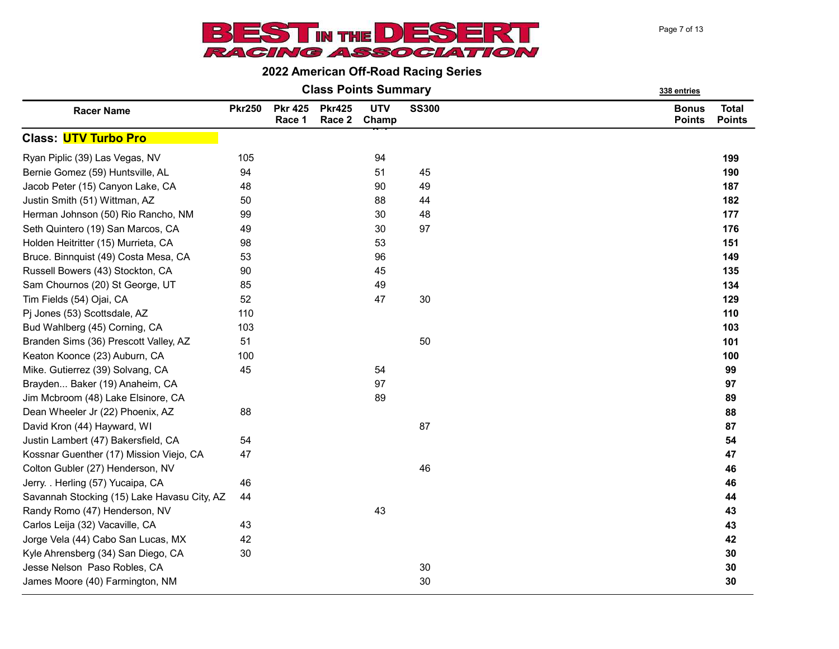

Class Points Summary 338 entries

|                                             |               |                          |                         | oldəə i viritə odinindiy |              | <u>330 enules</u>             |                               |
|---------------------------------------------|---------------|--------------------------|-------------------------|--------------------------|--------------|-------------------------------|-------------------------------|
| <b>Racer Name</b>                           | <b>Pkr250</b> | <b>Pkr 425</b><br>Race 1 | <b>Pkr425</b><br>Race 2 | <b>UTV</b><br>Champ      | <b>SS300</b> | <b>Bonus</b><br><b>Points</b> | <b>Total</b><br><b>Points</b> |
| Class: <mark>UTV Turbo Pro</mark>           |               |                          |                         |                          |              |                               |                               |
| Ryan Piplic (39) Las Vegas, NV              | 105           |                          |                         | 94                       |              |                               | 199                           |
| Bernie Gomez (59) Huntsville, AL            | 94            |                          |                         | 51                       | 45           |                               | 190                           |
| Jacob Peter (15) Canyon Lake, CA            | 48            |                          |                         | 90                       | 49           |                               | 187                           |
| Justin Smith (51) Wittman, AZ               | 50            |                          |                         | 88                       | 44           |                               | 182                           |
| Herman Johnson (50) Rio Rancho, NM          | 99            |                          |                         | 30                       | 48           |                               | 177                           |
| Seth Quintero (19) San Marcos, CA           | 49            |                          |                         | 30                       | 97           |                               | 176                           |
| Holden Heitritter (15) Murrieta, CA         | 98            |                          |                         | 53                       |              |                               | 151                           |
| Bruce. Binnquist (49) Costa Mesa, CA        | 53            |                          |                         | 96                       |              |                               | 149                           |
| Russell Bowers (43) Stockton, CA            | $90\,$        |                          |                         | 45                       |              |                               | 135                           |
| Sam Chournos (20) St George, UT             | 85            |                          |                         | 49                       |              |                               | 134                           |
| Tim Fields (54) Ojai, CA                    | 52            |                          |                         | 47                       | 30           |                               | 129                           |
| Pj Jones (53) Scottsdale, AZ                | 110           |                          |                         |                          |              |                               | 110                           |
| Bud Wahlberg (45) Corning, CA               | 103           |                          |                         |                          |              |                               | 103                           |
| Branden Sims (36) Prescott Valley, AZ       | 51            |                          |                         |                          | 50           |                               | 101                           |
| Keaton Koonce (23) Auburn, CA               | 100           |                          |                         |                          |              |                               | 100                           |
| Mike. Gutierrez (39) Solvang, CA            | 45            |                          |                         | 54                       |              |                               | 99                            |
| Brayden Baker (19) Anaheim, CA              |               |                          |                         | 97                       |              |                               | 97                            |
| Jim Mcbroom (48) Lake Elsinore, CA          |               |                          |                         | 89                       |              |                               | 89                            |
| Dean Wheeler Jr (22) Phoenix, AZ            | 88            |                          |                         |                          |              |                               | 88                            |
| David Kron (44) Hayward, WI                 |               |                          |                         |                          | 87           |                               | 87                            |
| Justin Lambert (47) Bakersfield, CA         | 54            |                          |                         |                          |              |                               | 54                            |
| Kossnar Guenther (17) Mission Viejo, CA     | 47            |                          |                         |                          |              |                               | 47                            |
| Colton Gubler (27) Henderson, NV            |               |                          |                         |                          | 46           |                               | 46                            |
| Jerry. . Herling (57) Yucaipa, CA           | 46            |                          |                         |                          |              |                               | 46                            |
| Savannah Stocking (15) Lake Havasu City, AZ | 44            |                          |                         |                          |              |                               | 44                            |
| Randy Romo (47) Henderson, NV               |               |                          |                         | 43                       |              |                               | 43                            |
| Carlos Leija (32) Vacaville, CA             | 43            |                          |                         |                          |              |                               | 43                            |
| Jorge Vela (44) Cabo San Lucas, MX          | 42            |                          |                         |                          |              |                               | 42                            |
| Kyle Ahrensberg (34) San Diego, CA          | 30            |                          |                         |                          |              |                               | 30                            |
| Jesse Nelson Paso Robles, CA                |               |                          |                         |                          | 30           |                               | 30                            |
| James Moore (40) Farmington, NM             |               |                          |                         |                          | 30           |                               | 30                            |
|                                             |               |                          |                         |                          |              |                               |                               |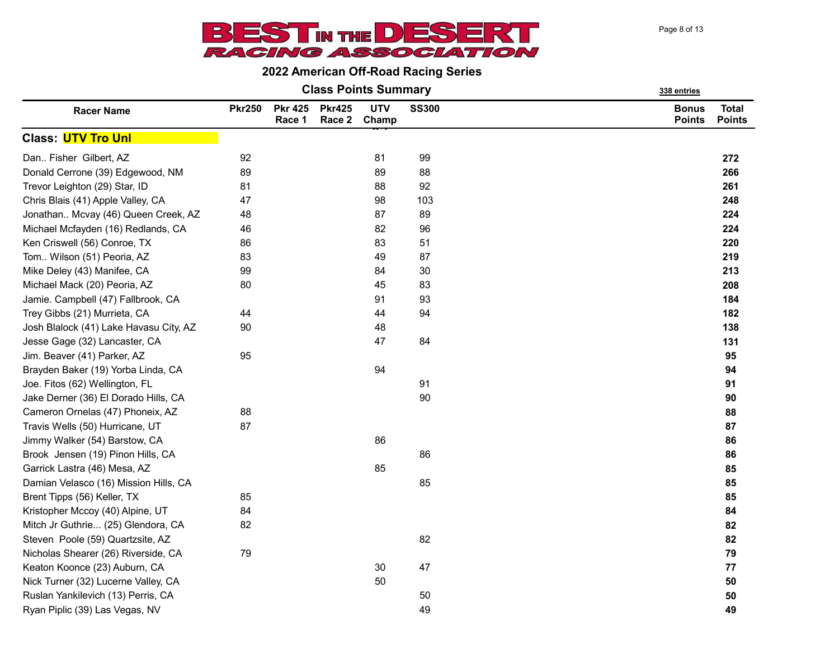Page 8 of 13



| <b>Class Points Summary</b> | 338 entries |
|-----------------------------|-------------|
|                             |             |

|                                        |               |                          |                         |                     |              | ,,,,,,,,,,,                   |                               |
|----------------------------------------|---------------|--------------------------|-------------------------|---------------------|--------------|-------------------------------|-------------------------------|
| <b>Racer Name</b>                      | <b>Pkr250</b> | <b>Pkr 425</b><br>Race 1 | <b>Pkr425</b><br>Race 2 | <b>UTV</b><br>Champ | <b>SS300</b> | <b>Bonus</b><br><b>Points</b> | <b>Total</b><br><b>Points</b> |
| <b>Class: UTV Tro Unl</b>              |               |                          |                         |                     |              |                               |                               |
| Dan Fisher Gilbert, AZ                 | 92            |                          |                         | 81                  | 99           |                               | 272                           |
| Donald Cerrone (39) Edgewood, NM       | 89            |                          |                         | 89                  | 88           |                               | 266                           |
| Trevor Leighton (29) Star, ID          | 81            |                          |                         | 88                  | 92           |                               | 261                           |
| Chris Blais (41) Apple Valley, CA      | 47            |                          |                         | 98                  | 103          |                               | 248                           |
| Jonathan Mcvay (46) Queen Creek, AZ    | 48            |                          |                         | 87                  | 89           |                               | 224                           |
| Michael Mcfayden (16) Redlands, CA     | 46            |                          |                         | 82                  | 96           |                               | 224                           |
| Ken Criswell (56) Conroe, TX           | 86            |                          |                         | 83                  | 51           |                               | 220                           |
| Tom Wilson (51) Peoria, AZ             | 83            |                          |                         | 49                  | 87           |                               | 219                           |
| Mike Deley (43) Manifee, CA            | 99            |                          |                         | 84                  | 30           |                               | 213                           |
| Michael Mack (20) Peoria, AZ           | 80            |                          |                         | 45                  | 83           |                               | 208                           |
| Jamie. Campbell (47) Fallbrook, CA     |               |                          |                         | 91                  | 93           |                               | 184                           |
| Trey Gibbs (21) Murrieta, CA           | 44            |                          |                         | 44                  | 94           |                               | 182                           |
| Josh Blalock (41) Lake Havasu City, AZ | 90            |                          |                         | 48                  |              |                               | 138                           |
| Jesse Gage (32) Lancaster, CA          |               |                          |                         | 47                  | 84           |                               | 131                           |
| Jim. Beaver (41) Parker, AZ            | 95            |                          |                         |                     |              |                               | 95                            |
| Brayden Baker (19) Yorba Linda, CA     |               |                          |                         | 94                  |              |                               | 94                            |
| Joe. Fitos (62) Wellington, FL         |               |                          |                         |                     | 91           |                               | 91                            |
| Jake Derner (36) El Dorado Hills, CA   |               |                          |                         |                     | 90           |                               | 90                            |
| Cameron Ornelas (47) Phoneix, AZ       | 88            |                          |                         |                     |              |                               | 88                            |
| Travis Wells (50) Hurricane, UT        | 87            |                          |                         |                     |              |                               | 87                            |
| Jimmy Walker (54) Barstow, CA          |               |                          |                         | 86                  |              |                               | 86                            |
| Brook Jensen (19) Pinon Hills, CA      |               |                          |                         |                     | 86           |                               | 86                            |
| Garrick Lastra (46) Mesa, AZ           |               |                          |                         | 85                  |              |                               | 85                            |
| Damian Velasco (16) Mission Hills, CA  |               |                          |                         |                     | 85           |                               | 85                            |
| Brent Tipps (56) Keller, TX            | 85            |                          |                         |                     |              |                               | 85                            |
| Kristopher Mccoy (40) Alpine, UT       | 84            |                          |                         |                     |              |                               | 84                            |
| Mitch Jr Guthrie (25) Glendora, CA     | 82            |                          |                         |                     |              |                               | 82                            |
| Steven Poole (59) Quartzsite, AZ       |               |                          |                         |                     | 82           |                               | 82                            |
| Nicholas Shearer (26) Riverside, CA    | 79            |                          |                         |                     |              |                               | 79                            |
| Keaton Koonce (23) Auburn, CA          |               |                          |                         | 30                  | 47           |                               | 77                            |
| Nick Turner (32) Lucerne Valley, CA    |               |                          |                         | 50                  |              |                               | 50                            |
| Ruslan Yankilevich (13) Perris, CA     |               |                          |                         |                     | 50           |                               | 50                            |
| Ryan Piplic (39) Las Vegas, NV         |               |                          |                         |                     | 49           |                               | 49                            |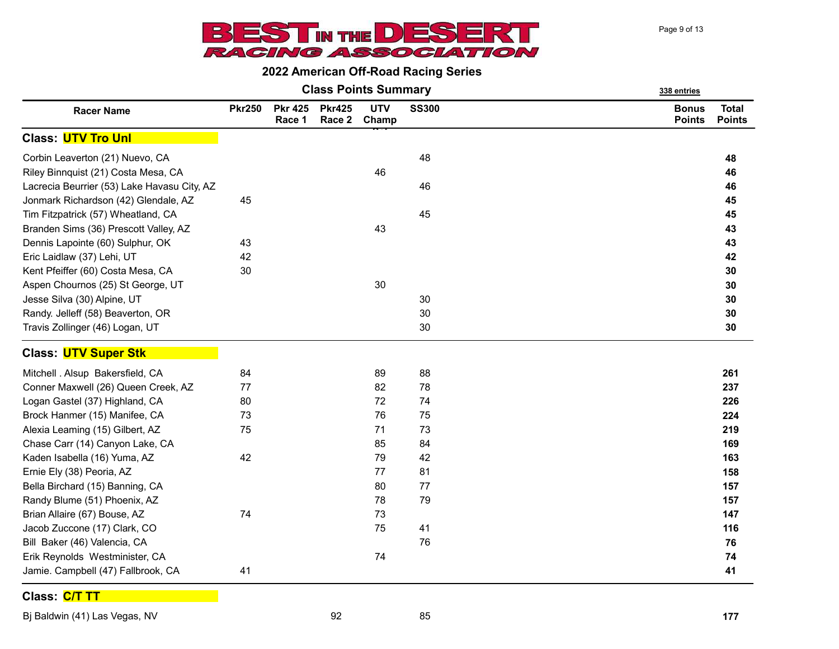



|  |  | <b>Class Points Summary</b> |  |
|--|--|-----------------------------|--|
|--|--|-----------------------------|--|

|                                             |               |                          |                         | <b>Class Points Summary</b> |              | 338 entries                   |                               |
|---------------------------------------------|---------------|--------------------------|-------------------------|-----------------------------|--------------|-------------------------------|-------------------------------|
| <b>Racer Name</b>                           | <b>Pkr250</b> | <b>Pkr 425</b><br>Race 1 | <b>Pkr425</b><br>Race 2 | <b>UTV</b><br>Champ         | <b>SS300</b> | <b>Bonus</b><br><b>Points</b> | <b>Total</b><br><b>Points</b> |
| <b>Class: UTV Tro Unl</b>                   |               |                          |                         |                             |              |                               |                               |
| Corbin Leaverton (21) Nuevo, CA             |               |                          |                         |                             | 48           |                               | 48                            |
| Riley Binnquist (21) Costa Mesa, CA         |               |                          |                         | 46                          |              |                               | 46                            |
| Lacrecia Beurrier (53) Lake Havasu City, AZ |               |                          |                         |                             | 46           |                               | 46                            |
| Jonmark Richardson (42) Glendale, AZ        | 45            |                          |                         |                             |              |                               | 45                            |
| Tim Fitzpatrick (57) Wheatland, CA          |               |                          |                         |                             | 45           |                               | 45                            |
| Branden Sims (36) Prescott Valley, AZ       |               |                          |                         | 43                          |              |                               | 43                            |
| Dennis Lapointe (60) Sulphur, OK            | 43            |                          |                         |                             |              |                               | 43                            |
| Eric Laidlaw (37) Lehi, UT                  | 42            |                          |                         |                             |              |                               | 42                            |
| Kent Pfeiffer (60) Costa Mesa, CA           | 30            |                          |                         |                             |              |                               | 30                            |
| Aspen Chournos (25) St George, UT           |               |                          |                         | 30                          |              |                               | 30                            |
| Jesse Silva (30) Alpine, UT                 |               |                          |                         |                             | 30           |                               | 30                            |
| Randy. Jelleff (58) Beaverton, OR           |               |                          |                         |                             | 30           |                               | 30                            |
| Travis Zollinger (46) Logan, UT             |               |                          |                         |                             | 30           |                               | 30                            |
| Class: UTV Super Stk                        |               |                          |                         |                             |              |                               |                               |
| Mitchell . Alsup Bakersfield, CA            | 84            |                          |                         | 89                          | 88           |                               | 261                           |
| Conner Maxwell (26) Queen Creek, AZ         | 77            |                          |                         | 82                          | 78           |                               | 237                           |
| Logan Gastel (37) Highland, CA              | 80            |                          |                         | 72                          | 74           |                               | 226                           |
| Brock Hanmer (15) Manifee, CA               | 73            |                          |                         | 76                          | 75           |                               | 224                           |
| Alexia Leaming (15) Gilbert, AZ             | 75            |                          |                         | 71                          | 73           |                               | 219                           |
| Chase Carr (14) Canyon Lake, CA             |               |                          |                         | 85                          | 84           |                               | 169                           |
| Kaden Isabella (16) Yuma, AZ                | 42            |                          |                         | 79                          | 42           |                               | 163                           |
| Ernie Ely (38) Peoria, AZ                   |               |                          |                         | 77                          | 81           |                               | 158                           |
| Bella Birchard (15) Banning, CA             |               |                          |                         | 80                          | 77           |                               | 157                           |
| Randy Blume (51) Phoenix, AZ                |               |                          |                         | 78                          | 79           |                               | 157                           |
| Brian Allaire (67) Bouse, AZ                | 74            |                          |                         | 73                          |              |                               | 147                           |
| Jacob Zuccone (17) Clark, CO                |               |                          |                         | 75                          | 41           |                               | 116                           |
| Bill Baker (46) Valencia, CA                |               |                          |                         |                             | 76           |                               | 76                            |
| Erik Reynolds Westminister, CA              |               |                          |                         | 74                          |              |                               | 74                            |
| Jamie. Campbell (47) Fallbrook, CA          | 41            |                          |                         |                             |              |                               | 41                            |

Class: C/T TT

Bj Baldwin (41) Las Vegas, NV 877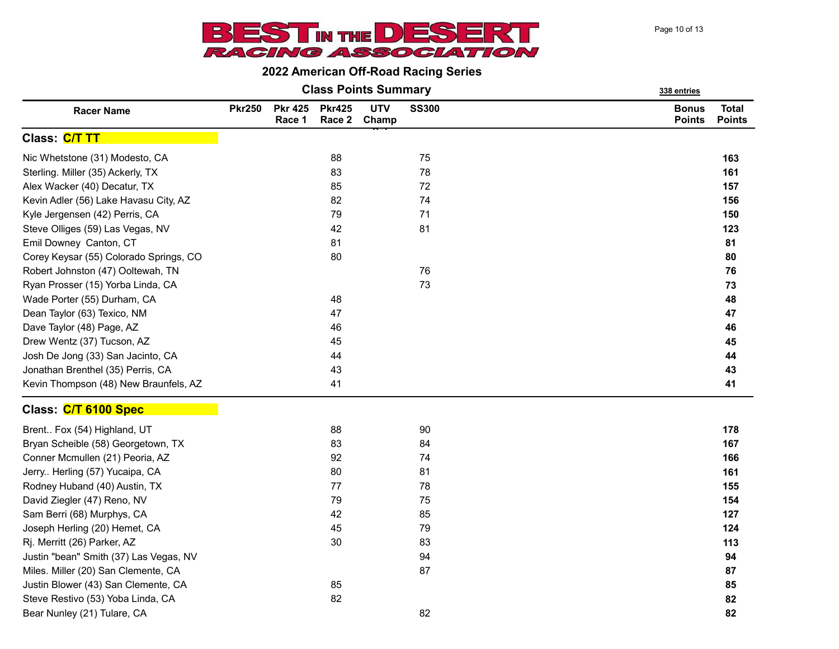Page 10 of 13



|  |  | <b>Class Points Summary</b> |  |
|--|--|-----------------------------|--|
|--|--|-----------------------------|--|

|                                        |               |                          |                         | <b>Class Points Summary</b> | 338 entries  |                               |                               |
|----------------------------------------|---------------|--------------------------|-------------------------|-----------------------------|--------------|-------------------------------|-------------------------------|
| <b>Racer Name</b>                      | <b>Pkr250</b> | <b>Pkr 425</b><br>Race 1 | <b>Pkr425</b><br>Race 2 | <b>UTV</b><br>Champ         | <b>SS300</b> | <b>Bonus</b><br><b>Points</b> | <b>Total</b><br><b>Points</b> |
| Class: C/T TT                          |               |                          |                         |                             |              |                               |                               |
| Nic Whetstone (31) Modesto, CA         |               |                          | 88                      |                             | 75           |                               | 163                           |
| Sterling. Miller (35) Ackerly, TX      |               |                          | 83                      |                             | 78           |                               | 161                           |
| Alex Wacker (40) Decatur, TX           |               |                          | 85                      |                             | 72           |                               | 157                           |
| Kevin Adler (56) Lake Havasu City, AZ  |               |                          | 82                      |                             | 74           |                               | 156                           |
| Kyle Jergensen (42) Perris, CA         |               |                          | 79                      |                             | 71           |                               | 150                           |
| Steve Olliges (59) Las Vegas, NV       |               |                          | 42                      |                             | 81           |                               | 123                           |
| Emil Downey Canton, CT                 |               |                          | 81                      |                             |              |                               | 81                            |
| Corey Keysar (55) Colorado Springs, CO |               |                          | 80                      |                             |              |                               | 80                            |
| Robert Johnston (47) Ooltewah, TN      |               |                          |                         |                             | 76           |                               | 76                            |
| Ryan Prosser (15) Yorba Linda, CA      |               |                          |                         |                             | 73           |                               | 73                            |
| Wade Porter (55) Durham, CA            |               |                          | 48                      |                             |              |                               | 48                            |
| Dean Taylor (63) Texico, NM            |               |                          | 47                      |                             |              |                               | 47                            |
| Dave Taylor (48) Page, AZ              |               |                          | 46                      |                             |              |                               | 46                            |
| Drew Wentz (37) Tucson, AZ             |               |                          | 45                      |                             |              |                               | 45                            |
| Josh De Jong (33) San Jacinto, CA      |               |                          | 44                      |                             |              |                               | 44                            |
| Jonathan Brenthel (35) Perris, CA      |               |                          | 43                      |                             |              |                               | 43                            |
| Kevin Thompson (48) New Braunfels, AZ  |               |                          | 41                      |                             |              |                               | 41                            |
| Class: C/T 6100 Spec                   |               |                          |                         |                             |              |                               |                               |
| Brent Fox (54) Highland, UT            |               |                          | 88                      |                             | 90           |                               | 178                           |
| Bryan Scheible (58) Georgetown, TX     |               |                          | 83                      |                             | 84           |                               | 167                           |
| Conner Mcmullen (21) Peoria, AZ        |               |                          | 92                      |                             | 74           |                               | 166                           |
| Jerry Herling (57) Yucaipa, CA         |               |                          | 80                      |                             | 81           |                               | 161                           |
| Rodney Huband (40) Austin, TX          |               |                          | 77                      |                             | 78           |                               | 155                           |
| David Ziegler (47) Reno, NV            |               |                          | 79                      |                             | 75           |                               | 154                           |
| Sam Berri (68) Murphys, CA             |               |                          | 42                      |                             | 85           |                               | 127                           |
| Joseph Herling (20) Hemet, CA          |               |                          | 45                      |                             | 79           |                               | 124                           |
| Rj. Merritt (26) Parker, AZ            |               |                          | 30                      |                             | 83           |                               | 113                           |
| Justin "bean" Smith (37) Las Vegas, NV |               |                          |                         |                             | 94           |                               | 94                            |
| Miles. Miller (20) San Clemente, CA    |               |                          |                         |                             | 87           |                               | 87                            |
| Justin Blower (43) San Clemente, CA    |               |                          | 85                      |                             |              |                               | 85                            |
| Steve Restivo (53) Yoba Linda, CA      |               |                          | 82                      |                             |              |                               | 82                            |
| Bear Nunley (21) Tulare, CA            |               |                          |                         |                             | 82           |                               | 82                            |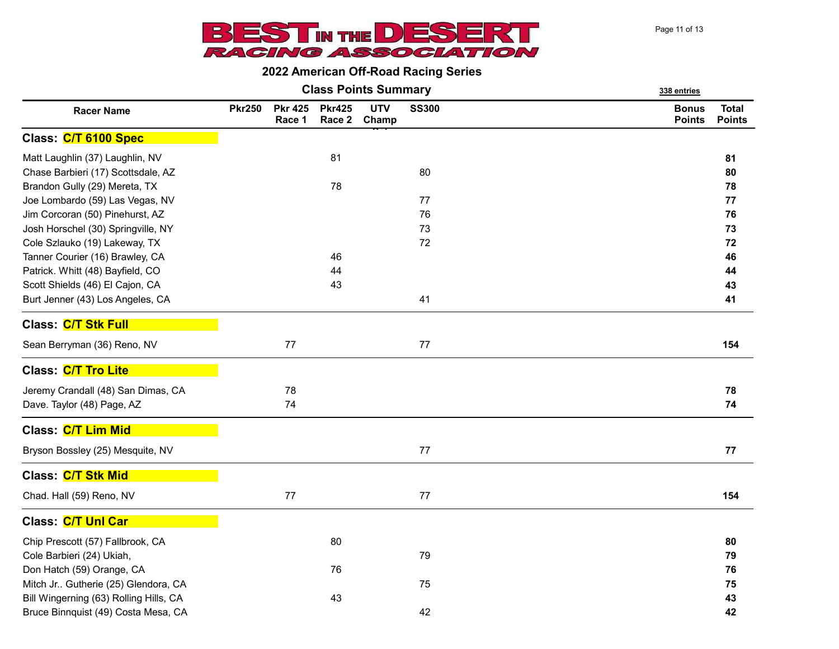

Class Points Summary 338 entries

|                                        |               |                          |                         | Giass Politis Sullillialy | 338 entries  |                               |                               |
|----------------------------------------|---------------|--------------------------|-------------------------|---------------------------|--------------|-------------------------------|-------------------------------|
| <b>Racer Name</b>                      | <b>Pkr250</b> | <b>Pkr 425</b><br>Race 1 | <b>Pkr425</b><br>Race 2 | <b>UTV</b><br>Champ       | <b>SS300</b> | <b>Bonus</b><br><b>Points</b> | <b>Total</b><br><b>Points</b> |
| Class: C/T 6100 Spec                   |               |                          |                         |                           |              |                               |                               |
| Matt Laughlin (37) Laughlin, NV        |               |                          | 81                      |                           |              |                               | 81                            |
| Chase Barbieri (17) Scottsdale, AZ     |               |                          |                         |                           | 80           |                               | 80                            |
| Brandon Gully (29) Mereta, TX          |               |                          | 78                      |                           |              |                               | 78                            |
| Joe Lombardo (59) Las Vegas, NV        |               |                          |                         |                           | 77           |                               | 77                            |
| Jim Corcoran (50) Pinehurst, AZ        |               |                          |                         |                           | 76           |                               | 76                            |
| Josh Horschel (30) Springville, NY     |               |                          |                         |                           | 73           |                               | 73                            |
| Cole Szlauko (19) Lakeway, TX          |               |                          |                         |                           | 72           |                               | 72                            |
| Tanner Courier (16) Brawley, CA        |               |                          | 46                      |                           |              |                               | 46                            |
| Patrick. Whitt (48) Bayfield, CO       |               |                          | 44                      |                           |              |                               | 44                            |
| Scott Shields (46) El Cajon, CA        |               |                          | 43                      |                           |              |                               | 43                            |
| Burt Jenner (43) Los Angeles, CA       |               |                          |                         |                           | 41           |                               | 41                            |
| Class: C/T Stk Full                    |               |                          |                         |                           |              |                               |                               |
| Sean Berryman (36) Reno, NV            |               | 77                       |                         |                           | 77           |                               | 154                           |
| Class: C/T Tro Lite                    |               |                          |                         |                           |              |                               |                               |
| Jeremy Crandall (48) San Dimas, CA     |               | 78                       |                         |                           |              |                               | 78                            |
| Dave. Taylor (48) Page, AZ             |               | 74                       |                         |                           |              |                               | 74                            |
| Class: C/T Lim Mid                     |               |                          |                         |                           |              |                               |                               |
| Bryson Bossley (25) Mesquite, NV       |               |                          |                         |                           | 77           |                               | ${\bf 77}$                    |
| Class: C/T Stk Mid                     |               |                          |                         |                           |              |                               |                               |
| Chad. Hall (59) Reno, NV               |               | 77                       |                         |                           | 77           |                               | 154                           |
| Class: C/T Unl Car                     |               |                          |                         |                           |              |                               |                               |
| Chip Prescott (57) Fallbrook, CA       |               |                          | 80                      |                           |              |                               | 80                            |
| Cole Barbieri (24) Ukiah,              |               |                          |                         |                           | 79           |                               | 79                            |
| Don Hatch (59) Orange, CA              |               |                          | 76                      |                           |              |                               | 76                            |
| Mitch Jr Gutherie (25) Glendora, CA    |               |                          |                         |                           | 75           |                               | 75                            |
| Bill Wingerning (63) Rolling Hills, CA |               |                          | 43                      |                           |              |                               | 43                            |
| Bruce Binnquist (49) Costa Mesa, CA    |               |                          |                         |                           | 42           |                               | 42                            |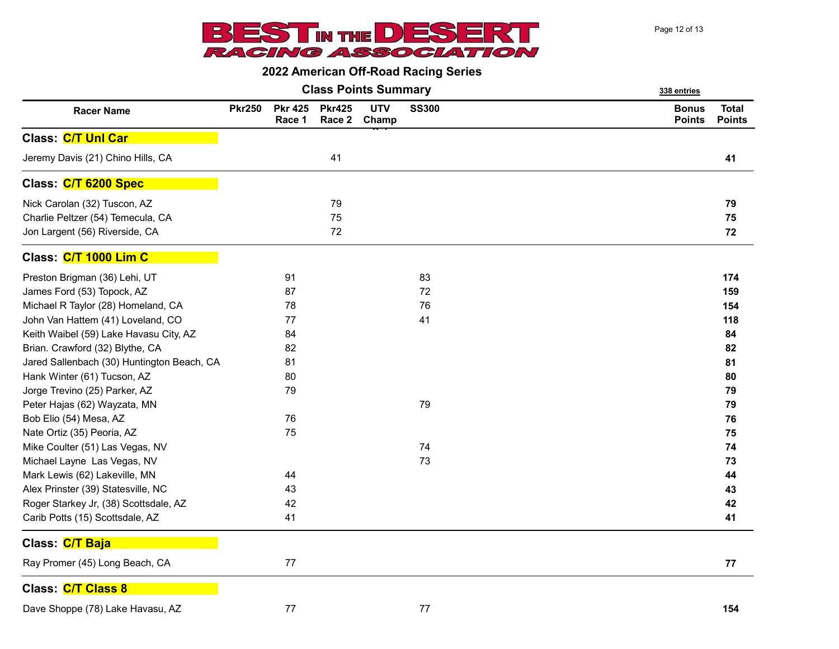

Page 12 of 13

|                                            |               |                          |                         | <b>Class Points Summary</b> |              | 338 entries                   |                               |
|--------------------------------------------|---------------|--------------------------|-------------------------|-----------------------------|--------------|-------------------------------|-------------------------------|
| <b>Racer Name</b>                          | <b>Pkr250</b> | <b>Pkr 425</b><br>Race 1 | <b>Pkr425</b><br>Race 2 | <b>UTV</b><br>Champ         | <b>SS300</b> | <b>Bonus</b><br><b>Points</b> | <b>Total</b><br><b>Points</b> |
| Class: C/T Unl Car                         |               |                          |                         |                             |              |                               |                               |
| Jeremy Davis (21) Chino Hills, CA          |               |                          | 41                      |                             |              |                               | 41                            |
| Class: C/T 6200 Spec                       |               |                          |                         |                             |              |                               |                               |
| Nick Carolan (32) Tuscon, AZ               |               |                          | 79                      |                             |              |                               | 79                            |
| Charlie Peltzer (54) Temecula, CA          |               |                          | 75                      |                             |              |                               | 75                            |
| Jon Largent (56) Riverside, CA             |               |                          | 72                      |                             |              |                               | ${\bf 72}$                    |
| Class: C/T 1000 Lim C                      |               |                          |                         |                             |              |                               |                               |
| Preston Brigman (36) Lehi, UT              |               | 91                       |                         |                             | 83           |                               | 174                           |
| James Ford (53) Topock, AZ                 |               | 87                       |                         |                             | 72           |                               | 159                           |
| Michael R Taylor (28) Homeland, CA         |               | 78                       |                         |                             | 76           |                               | 154                           |
| John Van Hattem (41) Loveland, CO          |               | 77                       |                         |                             | 41           |                               | 118                           |
| Keith Waibel (59) Lake Havasu City, AZ     |               | 84                       |                         |                             |              |                               | 84                            |
| Brian. Crawford (32) Blythe, CA            |               | 82                       |                         |                             |              |                               | 82                            |
| Jared Sallenbach (30) Huntington Beach, CA |               | 81                       |                         |                             |              |                               | 81                            |
| Hank Winter (61) Tucson, AZ                |               | 80                       |                         |                             |              |                               | 80                            |
| Jorge Trevino (25) Parker, AZ              |               | 79                       |                         |                             |              |                               | 79                            |
| Peter Hajas (62) Wayzata, MN               |               |                          |                         |                             | 79           |                               | 79                            |
| Bob Elio (54) Mesa, AZ                     |               | 76                       |                         |                             |              |                               | 76                            |
| Nate Ortiz (35) Peoria, AZ                 |               | 75                       |                         |                             |              |                               | 75                            |
| Mike Coulter (51) Las Vegas, NV            |               |                          |                         |                             | 74           |                               | 74                            |
| Michael Layne Las Vegas, NV                |               |                          |                         |                             | 73           |                               | 73                            |
| Mark Lewis (62) Lakeville, MN              |               | 44                       |                         |                             |              |                               | 44                            |
| Alex Prinster (39) Statesville, NC         |               | 43                       |                         |                             |              |                               | 43                            |
| Roger Starkey Jr, (38) Scottsdale, AZ      |               | 42                       |                         |                             |              |                               | 42                            |
| Carib Potts (15) Scottsdale, AZ            |               | 41                       |                         |                             |              |                               | 41                            |
| Class: C/T Baja                            |               |                          |                         |                             |              |                               |                               |
| Ray Promer (45) Long Beach, CA             |               | 77                       |                         |                             |              |                               | ${\bf 77}$                    |
| Class: C/T Class 8                         |               |                          |                         |                             |              |                               |                               |
| Dave Shoppe (78) Lake Havasu, AZ           |               | $77 \,$                  |                         |                             | 77           |                               | 154                           |